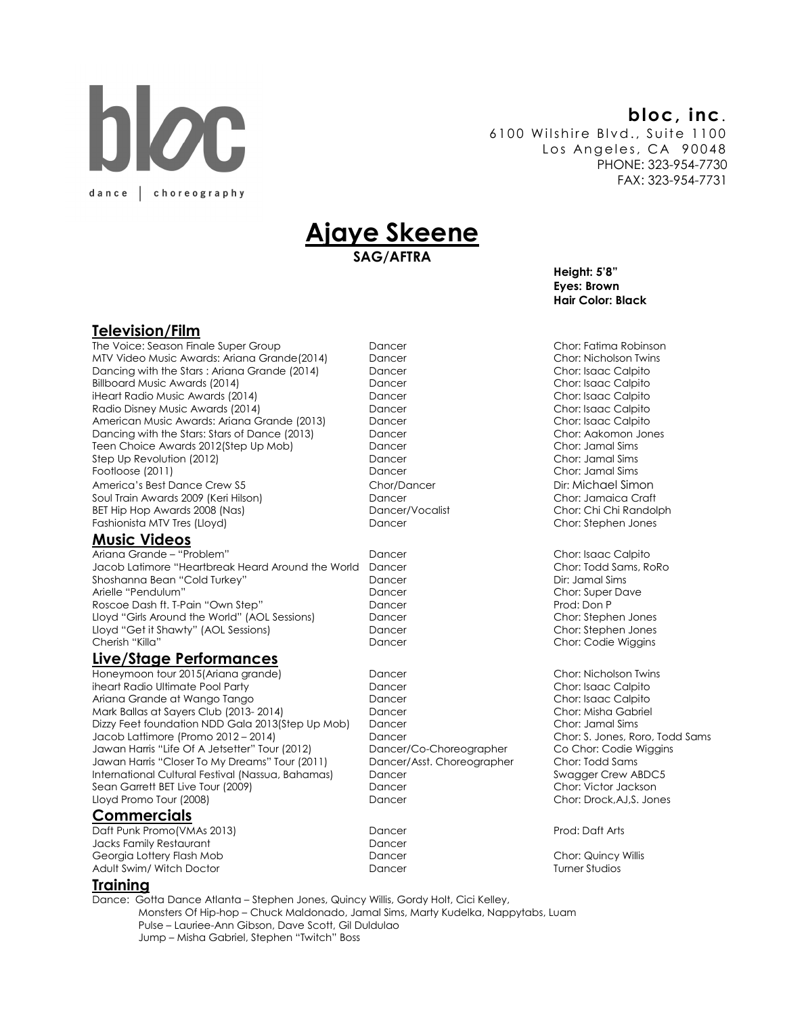# **DIOC** dance choreography

### bloc, inc.

6100 Wilshire Blvd., Suite 1100 Los Angeles, CA 90048 PHONE: 323-954-7730 FAX: 323-954-7731

## <u>Ajaye Skeene</u>

SAG/AFTRA

Height: 5'8" Eyes: Brown Hair Color: Black

#### Television/Film

The Voice: Season Finale Super Group Dancer Chor: Fatima Robinson MTV Video Music Awards: Ariana Grande(2014) Dancing with the Stars : Ariana Grande (2014) Dancer Chor: Isaac Calpito Billboard Music Awards (2014) Dancer Chor: Isaac Calpito iHeart Radio Music Awards (2014) Dancer Radio Disney Music Awards (2014) **Dancer** Dencer Chor: Isaac Calpito American Music Awards: Ariana Grande (2013) Dancer Chor: Isaac Calpito Dancing with the Stars: Stars of Dance (2013) Dancer Chor: Aakomon Jones (2013) Dancer Chor: Aakomon Jones (2012)<br>Teen Choice Awards 2012 (Step Up Mob) Dancer Dancer Chor: Jamal Sims Teen Choice Awards 2012 (Step Up Mob) Dancer Step Up Revolution (2012) Dancer Chor: Jamal Sims Footloose (2011) Dancer Chor: Jamal Sims America's Best Dance Crew S5 Chor/Dancer Soul Train Awards 2009 (Keri Hilson) Dancer Chor: Jamaica Craft BET Hip Hop Awards 2008 (Nas) Dancer/Vocalist Chor: Chi Chi Randolph Fashionista MTV Tres (Lloyd) Dancer Chor: Stephen Jones

#### Music Videos

 Ariana Grande – "Problem" Dancer Chor: Isaac Calpito Jacob Latimore "Heartbreak Heard Around the World Dancer Chor: Todd Sams, RoRo Shoshanna Bean "Cold Turkey" Dancer Dir: Jamal Sims Arielle "Pendulum" Dancer Chor: Super Dave Roscoe Dash ft. T-Pain "Own Step" Dancer Lloyd "Girls Around the World" (AOL Sessions) Dancer Chor: Stephen Jones Lloyd "Get it Shawty" (AOL Sessions) Dancer Chor: Stephen Jones Cherish "Killa" Dancer Chor: Codie Wiggins

#### Live/Stage Performances

Honeymoon tour 2015(Ariana grande) entitled by Dancer Chor: Nicholson Twins iheart Radio Ultimate Pool Party **Dancer** Dancer Chor: Isaac Calpito Ariana Grande at Wango Tango Dancer Chor: Isaac Calpito Mark Ballas at Sayers Club (2013- 2014) Dancer Dancer Chor: Misha Gabriel (2013- 2014) Dancer Chor: Misha Gabr<br>Dizzy Feet foundation NDD Gala 2013 (Step Up Mob) Dancer Chor: Jamal Sims Dizzy Feet foundation NDD Gala 2013(Step Up Mob) Jacob Lattimore (Promo 2012 – 2014) Dancer Chor: S. Jones, Roro, Todd Sams Jawan Harris "Life Of A Jetsetter" Tour (2012) Dancer/Co-Choreographer Co Chor: Codie Wiggins Jawan Harris "Closer To My Dreams" Tour (2011) Dancer/Asst. Choreographer Chor: Todd Sams International Cultural Festival (Nassua, Bahamas) Dancer Sean Garrett BET Live Tour (2009) Dancer Changer Chor: Victor Jackson Lloyd Promo Tour (2008) Dancer Chor: Drock,AJ,S. Jones

#### Commercials

Daft Punk Promo(VMAs 2013) Dancer Prod: Daft Arts Jacks Family Restaurant Georgia Lottery Flash Mob Dancer Chor: Quincy Willis Adult Swim/ Witch Doctor **Dancer** Dancer **Dancer** Turner Studios

#### Training

Dance: Gotta Dance Atlanta – Stephen Jones, Quincy Willis, Gordy Holt, Cici Kelley, Monsters Of Hip-hop – Chuck Maldonado, Jamal Sims, Marty Kudelka, Nappytabs, Luam Pulse – Lauriee-Ann Gibson, Dave Scott, Gil Duldulao Jump – Misha Gabriel, Stephen "Twitch" Boss